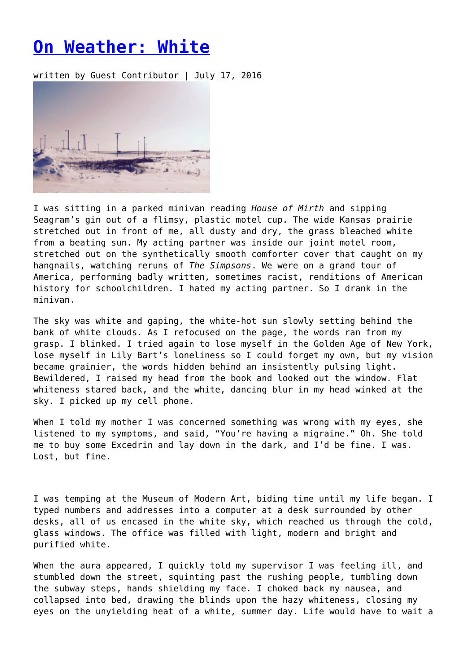## **[On Weather: White](https://entropymag.org/on-weather-white/)**

written by Guest Contributor | July 17, 2016



I was sitting in a parked minivan reading *House of Mirth* and sipping Seagram's gin out of a flimsy, plastic motel cup. The wide Kansas prairie stretched out in front of me, all dusty and dry, the grass bleached white from a beating sun. My acting partner was inside our joint motel room, stretched out on the synthetically smooth comforter cover that caught on my hangnails, watching reruns of *The Simpsons*. We were on a grand tour of America, performing badly written, sometimes racist, renditions of American history for schoolchildren. I hated my acting partner. So I drank in the minivan.

The sky was white and gaping, the white-hot sun slowly setting behind the bank of white clouds. As I refocused on the page, the words ran from my grasp. I blinked. I tried again to lose myself in the Golden Age of New York, lose myself in Lily Bart's loneliness so I could forget my own, but my vision became grainier, the words hidden behind an insistently pulsing light. Bewildered, I raised my head from the book and looked out the window. Flat whiteness stared back, and the white, dancing blur in my head winked at the sky. I picked up my cell phone.

When I told my mother I was concerned something was wrong with my eyes, she listened to my symptoms, and said, "You're having a migraine." Oh. She told me to buy some Excedrin and lay down in the dark, and I'd be fine. I was. Lost, but fine.

I was temping at the Museum of Modern Art, biding time until my life began. I typed numbers and addresses into a computer at a desk surrounded by other desks, all of us encased in the white sky, which reached us through the cold, glass windows. The office was filled with light, modern and bright and purified white.

When the aura appeared, I quickly told my supervisor I was feeling ill, and stumbled down the street, squinting past the rushing people, tumbling down the subway steps, hands shielding my face. I choked back my nausea, and collapsed into bed, drawing the blinds upon the hazy whiteness, closing my eyes on the unyielding heat of a white, summer day. Life would have to wait a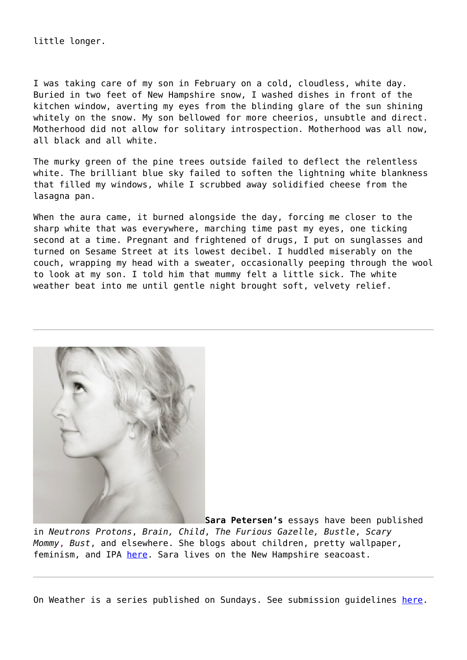little longer.

I was taking care of my son in February on a cold, cloudless, white day. Buried in two feet of New Hampshire snow, I washed dishes in front of the kitchen window, averting my eyes from the blinding glare of the sun shining whitely on the snow. My son bellowed for more cheerios, unsubtle and direct. Motherhood did not allow for solitary introspection. Motherhood was all now, all black and all white.

The murky green of the pine trees outside failed to deflect the relentless white. The brilliant blue sky failed to soften the lightning white blankness that filled my windows, while I scrubbed away solidified cheese from the lasagna pan.

When the aura came, it burned alongside the day, forcing me closer to the sharp white that was everywhere, marching time past my eyes, one ticking second at a time. Pregnant and frightened of drugs, I put on sunglasses and turned on Sesame Street at its lowest decibel. I huddled miserably on the couch, wrapping my head with a sweater, occasionally peeping through the wool to look at my son. I told him that mummy felt a little sick. The white weather beat into me until gentle night brought soft, velvety relief.



**Sara Petersen's** essays have been published in *Neutrons Protons*, *Brain, Child*, *The Furious Gazelle, Bustle*, *Scary Mommy*, *Bust*, and elsewhere. She blogs about children, pretty wallpaper, feminism, and IPA [here](http://sara-petersen.com/). Sara lives on the New Hampshire seacoast.

On Weather is a series published on Sundays. See submission guidelines [here](https://entropymag.org/call-for-submissions-on-weather/).